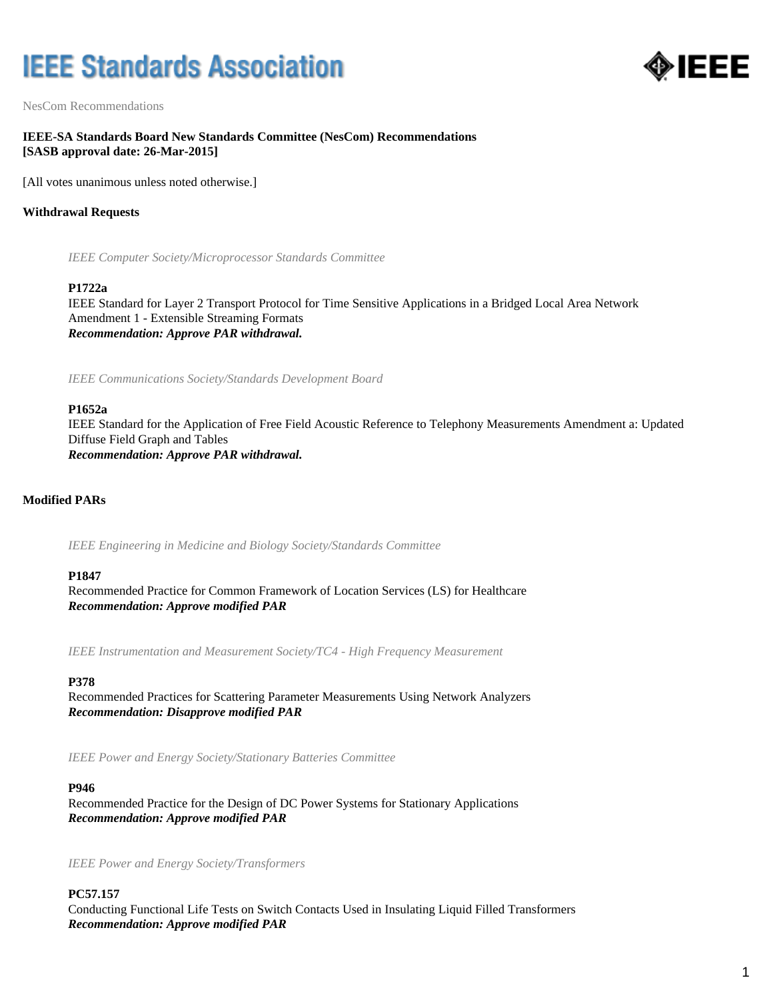# **IEEE Standards Association**



NesCom Recommendations

## **IEEE-SA Standards Board New Standards Committee (NesCom) Recommendations [SASB approval date: 26-Mar-2015]**

[All votes unanimous unless noted otherwise.]

## **Withdrawal Requests**

*IEEE Computer Society/Microprocessor Standards Committee*

#### **P1722a**

IEEE Standard for Layer 2 Transport Protocol for Time Sensitive Applications in a Bridged Local Area Network Amendment 1 - Extensible Streaming Formats *Recommendation: Approve PAR withdrawal.*

*IEEE Communications Society/Standards Development Board*

#### **P1652a**

IEEE Standard for the Application of Free Field Acoustic Reference to Telephony Measurements Amendment a: Updated Diffuse Field Graph and Tables *Recommendation: Approve PAR withdrawal.*

## **Modified PARs**

*IEEE Engineering in Medicine and Biology Society/Standards Committee*

#### **P1847**

Recommended Practice for Common Framework of Location Services (LS) for Healthcare *Recommendation: Approve modified PAR*

*IEEE Instrumentation and Measurement Society/TC4 - High Frequency Measurement*

#### **P378**

Recommended Practices for Scattering Parameter Measurements Using Network Analyzers *Recommendation: Disapprove modified PAR*

*IEEE Power and Energy Society/Stationary Batteries Committee*

#### **P946**

Recommended Practice for the Design of DC Power Systems for Stationary Applications *Recommendation: Approve modified PAR*

*IEEE Power and Energy Society/Transformers*

#### **PC57.157**

Conducting Functional Life Tests on Switch Contacts Used in Insulating Liquid Filled Transformers *Recommendation: Approve modified PAR*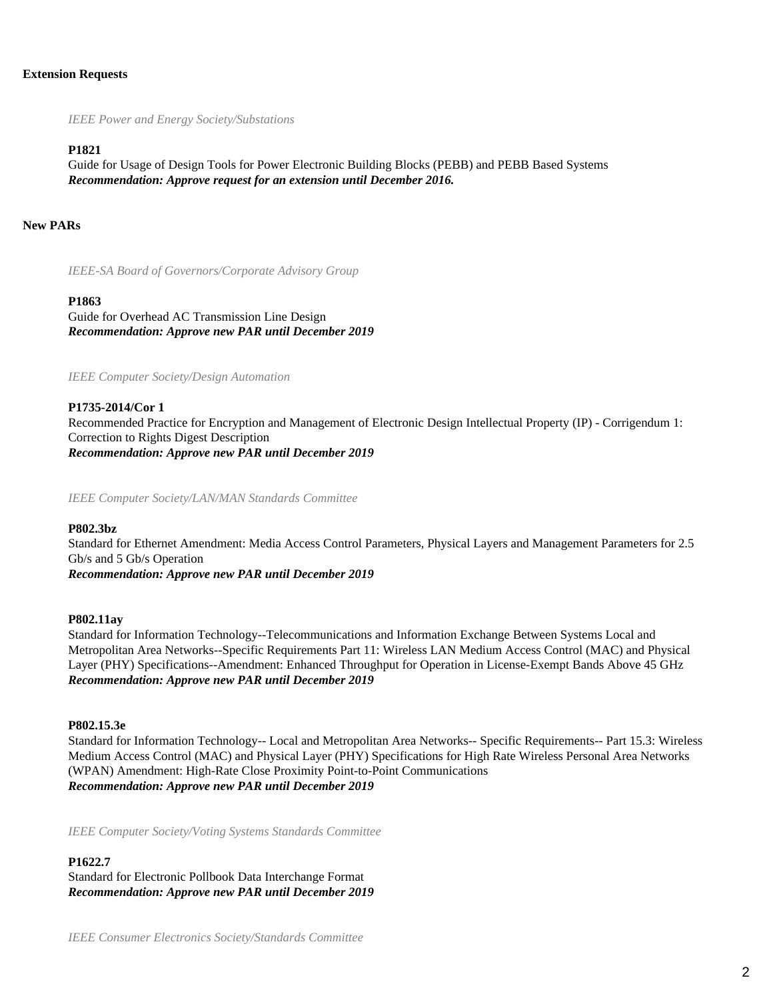#### **Extension Requests**

*IEEE Power and Energy Society/Substations*

#### **P1821**

Guide for Usage of Design Tools for Power Electronic Building Blocks (PEBB) and PEBB Based Systems *Recommendation: Approve request for an extension until December 2016.*

## **New PARs**

*IEEE-SA Board of Governors/Corporate Advisory Group*

#### **P1863**

Guide for Overhead AC Transmission Line Design *Recommendation: Approve new PAR until December 2019*

*IEEE Computer Society/Design Automation*

**P1735-2014/Cor 1** Recommended Practice for Encryption and Management of Electronic Design Intellectual Property (IP) - Corrigendum 1: Correction to Rights Digest Description *Recommendation: Approve new PAR until December 2019*

*IEEE Computer Society/LAN/MAN Standards Committee*

#### **P802.3bz**

Standard for Ethernet Amendment: Media Access Control Parameters, Physical Layers and Management Parameters for 2.5 Gb/s and 5 Gb/s Operation *Recommendation: Approve new PAR until December 2019*

#### **P802.11ay**

Standard for Information Technology--Telecommunications and Information Exchange Between Systems Local and Metropolitan Area Networks--Specific Requirements Part 11: Wireless LAN Medium Access Control (MAC) and Physical Layer (PHY) Specifications--Amendment: Enhanced Throughput for Operation in License-Exempt Bands Above 45 GHz *Recommendation: Approve new PAR until December 2019*

#### **P802.15.3e**

Standard for Information Technology-- Local and Metropolitan Area Networks-- Specific Requirements-- Part 15.3: Wireless Medium Access Control (MAC) and Physical Layer (PHY) Specifications for High Rate Wireless Personal Area Networks (WPAN) Amendment: High-Rate Close Proximity Point-to-Point Communications *Recommendation: Approve new PAR until December 2019*

*IEEE Computer Society/Voting Systems Standards Committee*

#### **P1622.7**

Standard for Electronic Pollbook Data Interchange Format *Recommendation: Approve new PAR until December 2019*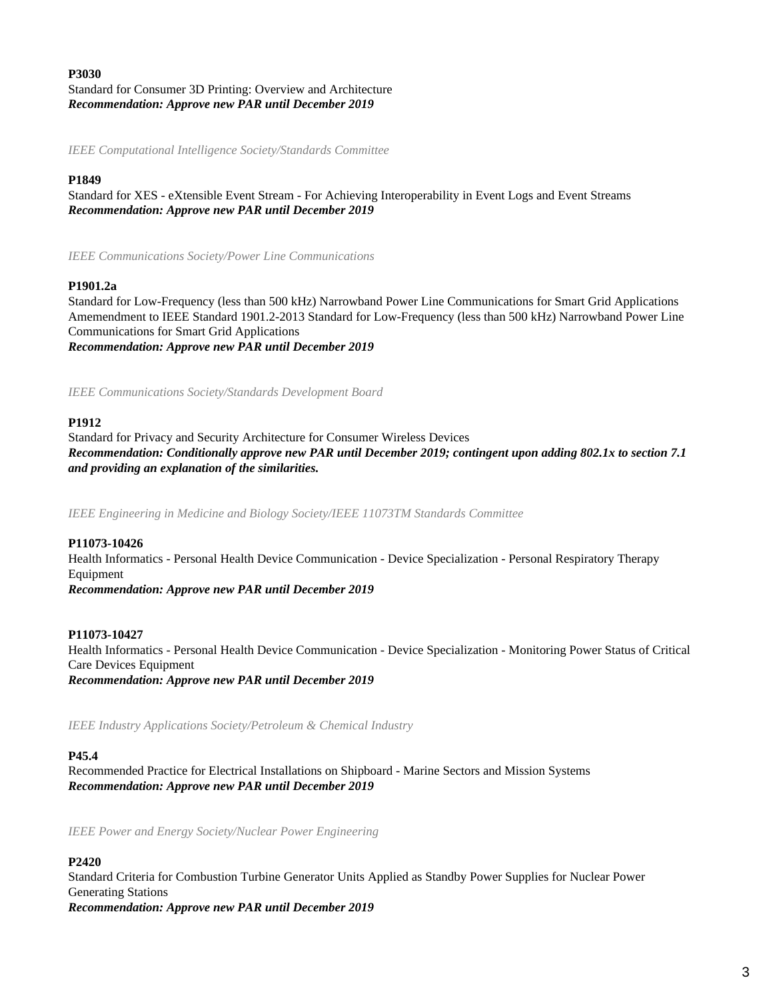# **P3030** Standard for Consumer 3D Printing: Overview and Architecture *Recommendation: Approve new PAR until December 2019*

*IEEE Computational Intelligence Society/Standards Committee*

# **P1849**

Standard for XES - eXtensible Event Stream - For Achieving Interoperability in Event Logs and Event Streams *Recommendation: Approve new PAR until December 2019*

*IEEE Communications Society/Power Line Communications*

## **P1901.2a**

Standard for Low-Frequency (less than 500 kHz) Narrowband Power Line Communications for Smart Grid Applications Amemendment to IEEE Standard 1901.2-2013 Standard for Low-Frequency (less than 500 kHz) Narrowband Power Line Communications for Smart Grid Applications *Recommendation: Approve new PAR until December 2019*

*IEEE Communications Society/Standards Development Board*

#### **P1912**

Standard for Privacy and Security Architecture for Consumer Wireless Devices *Recommendation: Conditionally approve new PAR until December 2019; contingent upon adding 802.1x to section 7.1 and providing an explanation of the similarities.*

*IEEE Engineering in Medicine and Biology Society/IEEE 11073TM Standards Committee*

## **P11073-10426**

Health Informatics - Personal Health Device Communication - Device Specialization - Personal Respiratory Therapy Equipment

*Recommendation: Approve new PAR until December 2019*

## **P11073-10427**

Health Informatics - Personal Health Device Communication - Device Specialization - Monitoring Power Status of Critical Care Devices Equipment *Recommendation: Approve new PAR until December 2019*

*IEEE Industry Applications Society/Petroleum & Chemical Industry*

#### **P45.4**

Recommended Practice for Electrical Installations on Shipboard - Marine Sectors and Mission Systems *Recommendation: Approve new PAR until December 2019*

*IEEE Power and Energy Society/Nuclear Power Engineering*

## **P2420**

Standard Criteria for Combustion Turbine Generator Units Applied as Standby Power Supplies for Nuclear Power Generating Stations *Recommendation: Approve new PAR until December 2019*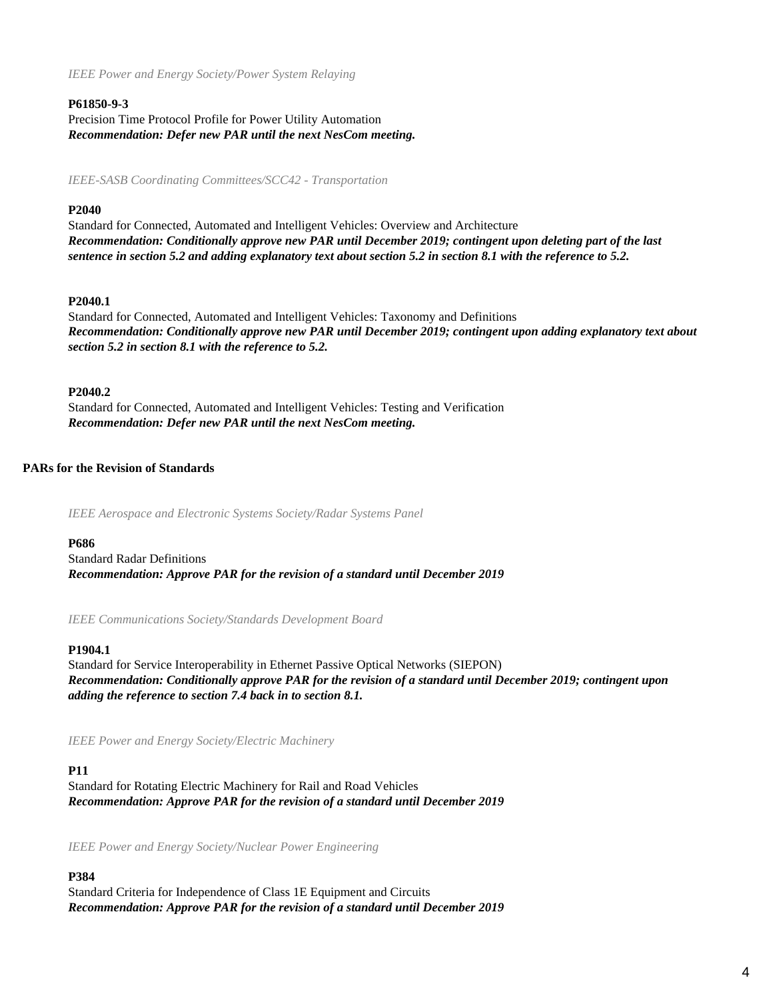*IEEE Power and Energy Society/Power System Relaying*

## **P61850-9-3**

Precision Time Protocol Profile for Power Utility Automation *Recommendation: Defer new PAR until the next NesCom meeting.*

*IEEE-SASB Coordinating Committees/SCC42 - Transportation*

## **P2040**

Standard for Connected, Automated and Intelligent Vehicles: Overview and Architecture *Recommendation: Conditionally approve new PAR until December 2019; contingent upon deleting part of the last sentence in section 5.2 and adding explanatory text about section 5.2 in section 8.1 with the reference to 5.2.*

# **P2040.1**

Standard for Connected, Automated and Intelligent Vehicles: Taxonomy and Definitions *Recommendation: Conditionally approve new PAR until December 2019; contingent upon adding explanatory text about section 5.2 in section 8.1 with the reference to 5.2.*

# **P2040.2**

Standard for Connected, Automated and Intelligent Vehicles: Testing and Verification *Recommendation: Defer new PAR until the next NesCom meeting.*

# **PARs for the Revision of Standards**

*IEEE Aerospace and Electronic Systems Society/Radar Systems Panel*

## **P686**

Standard Radar Definitions *Recommendation: Approve PAR for the revision of a standard until December 2019*

*IEEE Communications Society/Standards Development Board*

## **P1904.1**

Standard for Service Interoperability in Ethernet Passive Optical Networks (SIEPON) *Recommendation: Conditionally approve PAR for the revision of a standard until December 2019; contingent upon adding the reference to section 7.4 back in to section 8.1.*

*IEEE Power and Energy Society/Electric Machinery*

# **P11**

Standard for Rotating Electric Machinery for Rail and Road Vehicles *Recommendation: Approve PAR for the revision of a standard until December 2019*

*IEEE Power and Energy Society/Nuclear Power Engineering*

# **P384**

Standard Criteria for Independence of Class 1E Equipment and Circuits *Recommendation: Approve PAR for the revision of a standard until December 2019*